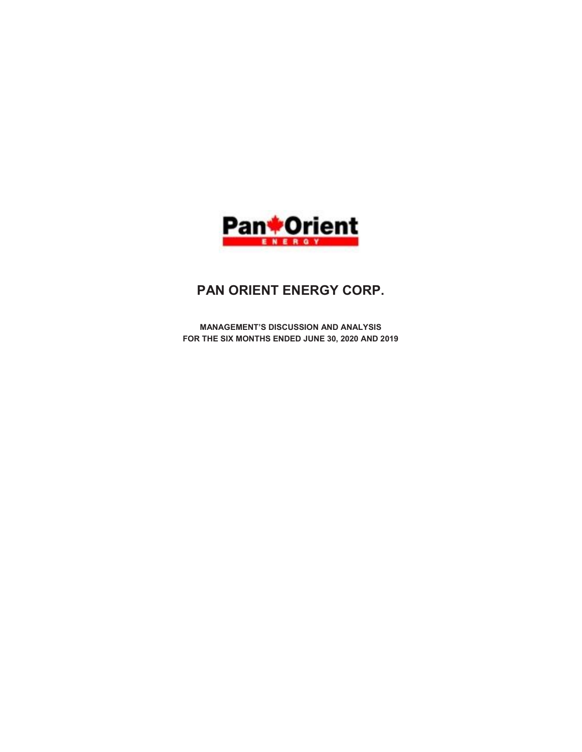

# PAN ORIENT ENERGY CORP.

MANAGEMENT'S DISCUSSION AND ANALYSIS FOR THE SIX MONTHS ENDED JUNE 30, 2020 AND 2019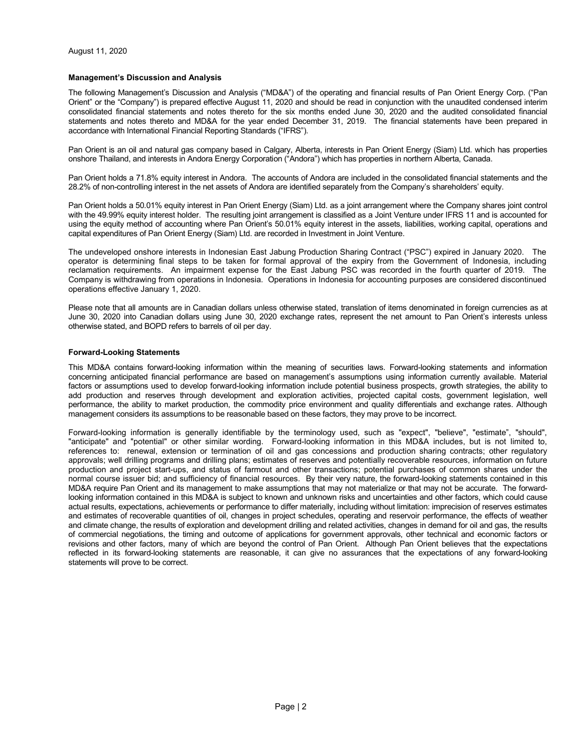## Management's Discussion and Analysis

The following Management's Discussion and Analysis ("MD&A") of the operating and financial results of Pan Orient Energy Corp. ("Pan Orient" or the "Company") is prepared effective August 11, 2020 and should be read in conjunction with the unaudited condensed interim consolidated financial statements and notes thereto for the six months ended June 30, 2020 and the audited consolidated financial statements and notes thereto and MD&A for the year ended December 31, 2019. The financial statements have been prepared in accordance with International Financial Reporting Standards ("IFRS").

Pan Orient is an oil and natural gas company based in Calgary, Alberta, interests in Pan Orient Energy (Siam) Ltd. which has properties onshore Thailand, and interests in Andora Energy Corporation ("Andora") which has properties in northern Alberta, Canada.

Pan Orient holds a 71.8% equity interest in Andora. The accounts of Andora are included in the consolidated financial statements and the 28.2% of non-controlling interest in the net assets of Andora are identified separately from the Company's shareholders' equity.

Pan Orient holds a 50.01% equity interest in Pan Orient Energy (Siam) Ltd. as a joint arrangement where the Company shares joint control with the 49.99% equity interest holder. The resulting joint arrangement is classified as a Joint Venture under IFRS 11 and is accounted for using the equity method of accounting where Pan Orient's 50.01% equity interest in the assets, liabilities, working capital, operations and capital expenditures of Pan Orient Energy (Siam) Ltd. are recorded in Investment in Joint Venture.

The undeveloped onshore interests in Indonesian East Jabung Production Sharing Contract ("PSC") expired in January 2020. The operator is determining final steps to be taken for formal approval of the expiry from the Government of Indonesia, including reclamation requirements. An impairment expense for the East Jabung PSC was recorded in the fourth quarter of 2019. The Company is withdrawing from operations in Indonesia. Operations in Indonesia for accounting purposes are considered discontinued operations effective January 1, 2020.

Please note that all amounts are in Canadian dollars unless otherwise stated, translation of items denominated in foreign currencies as at June 30, 2020 into Canadian dollars using June 30, 2020 exchange rates, represent the net amount to Pan Orient's interests unless otherwise stated, and BOPD refers to barrels of oil per day.

# Forward-Looking Statements

This MD&A contains forward-looking information within the meaning of securities laws. Forward-looking statements and information concerning anticipated financial performance are based on management's assumptions using information currently available. Material factors or assumptions used to develop forward-looking information include potential business prospects, growth strategies, the ability to add production and reserves through development and exploration activities, projected capital costs, government legislation, well performance, the ability to market production, the commodity price environment and quality differentials and exchange rates. Although management considers its assumptions to be reasonable based on these factors, they may prove to be incorrect.

Forward-looking information is generally identifiable by the terminology used, such as "expect", "believe", "estimate", "should", "anticipate" and "potential" or other similar wording. Forward-looking information in this MD&A includes, but is not limited to, references to: renewal, extension or termination of oil and gas concessions and production sharing contracts; other regulatory approvals; well drilling programs and drilling plans; estimates of reserves and potentially recoverable resources, information on future production and project start-ups, and status of farmout and other transactions; potential purchases of common shares under the normal course issuer bid; and sufficiency of financial resources. By their very nature, the forward-looking statements contained in this MD&A require Pan Orient and its management to make assumptions that may not materialize or that may not be accurate. The forwardlooking information contained in this MD&A is subject to known and unknown risks and uncertainties and other factors, which could cause actual results, expectations, achievements or performance to differ materially, including without limitation: imprecision of reserves estimates and estimates of recoverable quantities of oil, changes in project schedules, operating and reservoir performance, the effects of weather and climate change, the results of exploration and development drilling and related activities, changes in demand for oil and gas, the results of commercial negotiations, the timing and outcome of applications for government approvals, other technical and economic factors or revisions and other factors, many of which are beyond the control of Pan Orient. Although Pan Orient believes that the expectations reflected in its forward-looking statements are reasonable, it can give no assurances that the expectations of any forward-looking statements will prove to be correct.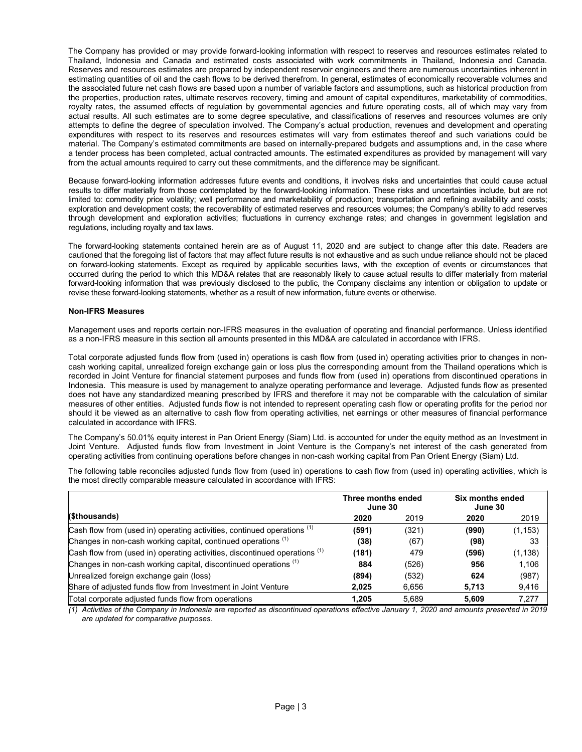The Company has provided or may provide forward-looking information with respect to reserves and resources estimates related to Thailand, Indonesia and Canada and estimated costs associated with work commitments in Thailand, Indonesia and Canada. Reserves and resources estimates are prepared by independent reservoir engineers and there are numerous uncertainties inherent in estimating quantities of oil and the cash flows to be derived therefrom. In general, estimates of economically recoverable volumes and the associated future net cash flows are based upon a number of variable factors and assumptions, such as historical production from the properties, production rates, ultimate reserves recovery, timing and amount of capital expenditures, marketability of commodities, royalty rates, the assumed effects of regulation by governmental agencies and future operating costs, all of which may vary from actual results. All such estimates are to some degree speculative, and classifications of reserves and resources volumes are only attempts to define the degree of speculation involved. The Company's actual production, revenues and development and operating expenditures with respect to its reserves and resources estimates will vary from estimates thereof and such variations could be material. The Company's estimated commitments are based on internally-prepared budgets and assumptions and, in the case where a tender process has been completed, actual contracted amounts. The estimated expenditures as provided by management will vary from the actual amounts required to carry out these commitments, and the difference may be significant.

Because forward-looking information addresses future events and conditions, it involves risks and uncertainties that could cause actual results to differ materially from those contemplated by the forward-looking information. These risks and uncertainties include, but are not limited to: commodity price volatility; well performance and marketability of production; transportation and refining availability and costs; exploration and development costs; the recoverability of estimated reserves and resources volumes; the Company's ability to add reserves through development and exploration activities; fluctuations in currency exchange rates; and changes in government legislation and regulations, including royalty and tax laws.

The forward-looking statements contained herein are as of August 11, 2020 and are subject to change after this date. Readers are cautioned that the foregoing list of factors that may affect future results is not exhaustive and as such undue reliance should not be placed on forward-looking statements. Except as required by applicable securities laws, with the exception of events or circumstances that occurred during the period to which this MD&A relates that are reasonably likely to cause actual results to differ materially from material forward-looking information that was previously disclosed to the public, the Company disclaims any intention or obligation to update or revise these forward-looking statements, whether as a result of new information, future events or otherwise.

# Non-IFRS Measures

Management uses and reports certain non-IFRS measures in the evaluation of operating and financial performance. Unless identified as a non-IFRS measure in this section all amounts presented in this MD&A are calculated in accordance with IFRS.

Total corporate adjusted funds flow from (used in) operations is cash flow from (used in) operating activities prior to changes in noncash working capital, unrealized foreign exchange gain or loss plus the corresponding amount from the Thailand operations which is recorded in Joint Venture for financial statement purposes and funds flow from (used in) operations from discontinued operations in Indonesia. This measure is used by management to analyze operating performance and leverage. Adjusted funds flow as presented does not have any standardized meaning prescribed by IFRS and therefore it may not be comparable with the calculation of similar measures of other entities. Adjusted funds flow is not intended to represent operating cash flow or operating profits for the period nor should it be viewed as an alternative to cash flow from operating activities, net earnings or other measures of financial performance calculated in accordance with IFRS.

The Company's 50.01% equity interest in Pan Orient Energy (Siam) Ltd. is accounted for under the equity method as an Investment in Joint Venture. Adjusted funds flow from Investment in Joint Venture is the Company's net interest of the cash generated from operating activities from continuing operations before changes in non-cash working capital from Pan Orient Energy (Siam) Ltd.

The following table reconciles adjusted funds flow from (used in) operations to cash flow from (used in) operating activities, which is the most directly comparable measure calculated in accordance with IFRS:

|                                                                                       | Three months ended<br>June 30 |       | Six months ended<br>June 30 |          |  |
|---------------------------------------------------------------------------------------|-------------------------------|-------|-----------------------------|----------|--|
| (\$thousands)                                                                         | 2020                          | 2019  | 2020                        | 2019     |  |
| Cash flow from (used in) operating activities, continued operations (1)               | (591)                         | (321) | (990)                       | (1, 153) |  |
| Changes in non-cash working capital, continued operations (1)                         | (38)                          | (67)  | (98)                        | 33       |  |
| Cash flow from (used in) operating activities, discontinued operations <sup>(1)</sup> | (181)                         | 479   | (596)                       | (1, 138) |  |
| Changes in non-cash working capital, discontinued operations <sup>(1)</sup>           | 884                           | (526) | 956                         | 1.106    |  |
| Unrealized foreign exchange gain (loss)                                               | (894)                         | (532) | 624                         | (987)    |  |
| Share of adjusted funds flow from Investment in Joint Venture                         | 2.025                         | 6.656 | 5,713                       | 9,416    |  |
| Total corporate adjusted funds flow from operations                                   | 1.205                         | 5.689 | 5.609                       | 7.277    |  |

(1) Activities of the Company in Indonesia are reported as discontinued operations effective January 1, 2020 and amounts presented in 2019 are updated for comparative purposes.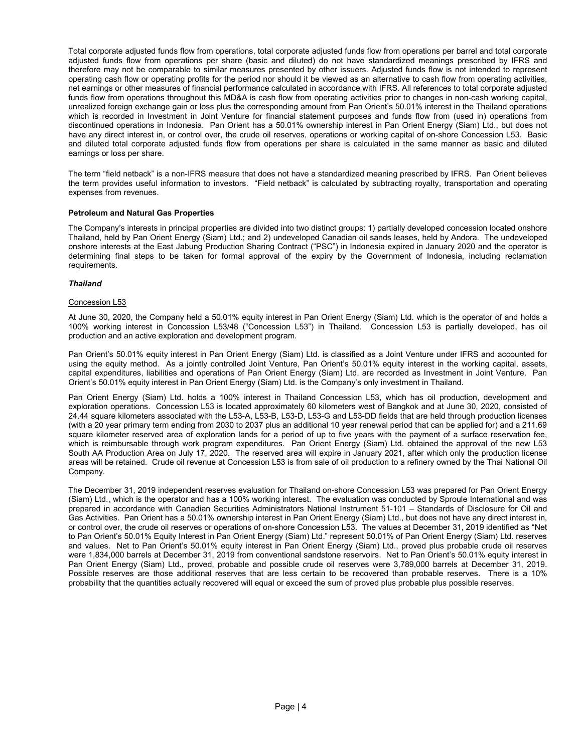Total corporate adjusted funds flow from operations, total corporate adjusted funds flow from operations per barrel and total corporate adjusted funds flow from operations per share (basic and diluted) do not have standardized meanings prescribed by IFRS and therefore may not be comparable to similar measures presented by other issuers. Adjusted funds flow is not intended to represent operating cash flow or operating profits for the period nor should it be viewed as an alternative to cash flow from operating activities, net earnings or other measures of financial performance calculated in accordance with IFRS. All references to total corporate adjusted funds flow from operations throughout this MD&A is cash flow from operating activities prior to changes in non-cash working capital, unrealized foreign exchange gain or loss plus the corresponding amount from Pan Orient's 50.01% interest in the Thailand operations which is recorded in Investment in Joint Venture for financial statement purposes and funds flow from (used in) operations from discontinued operations in Indonesia. Pan Orient has a 50.01% ownership interest in Pan Orient Energy (Siam) Ltd., but does not have any direct interest in, or control over, the crude oil reserves, operations or working capital of on-shore Concession L53. Basic and diluted total corporate adjusted funds flow from operations per share is calculated in the same manner as basic and diluted earnings or loss per share.

The term "field netback" is a non-IFRS measure that does not have a standardized meaning prescribed by IFRS. Pan Orient believes the term provides useful information to investors. "Field netback" is calculated by subtracting royalty, transportation and operating expenses from revenues.

# Petroleum and Natural Gas Properties

The Company's interests in principal properties are divided into two distinct groups: 1) partially developed concession located onshore Thailand, held by Pan Orient Energy (Siam) Ltd.; and 2) undeveloped Canadian oil sands leases, held by Andora. The undeveloped onshore interests at the East Jabung Production Sharing Contract ("PSC") in Indonesia expired in January 2020 and the operator is determining final steps to be taken for formal approval of the expiry by the Government of Indonesia, including reclamation requirements.

# Thailand

# Concession L53

At June 30, 2020, the Company held a 50.01% equity interest in Pan Orient Energy (Siam) Ltd. which is the operator of and holds a 100% working interest in Concession L53/48 ("Concession L53") in Thailand. Concession L53 is partially developed, has oil production and an active exploration and development program.

Pan Orient's 50.01% equity interest in Pan Orient Energy (Siam) Ltd. is classified as a Joint Venture under IFRS and accounted for using the equity method. As a jointly controlled Joint Venture, Pan Orient's 50.01% equity interest in the working capital, assets, capital expenditures, liabilities and operations of Pan Orient Energy (Siam) Ltd. are recorded as Investment in Joint Venture. Pan Orient's 50.01% equity interest in Pan Orient Energy (Siam) Ltd. is the Company's only investment in Thailand.

Pan Orient Energy (Siam) Ltd. holds a 100% interest in Thailand Concession L53, which has oil production, development and exploration operations. Concession L53 is located approximately 60 kilometers west of Bangkok and at June 30, 2020, consisted of 24.44 square kilometers associated with the L53-A, L53-B, L53-D, L53-G and L53-DD fields that are held through production licenses (with a 20 year primary term ending from 2030 to 2037 plus an additional 10 year renewal period that can be applied for) and a 211.69 square kilometer reserved area of exploration lands for a period of up to five years with the payment of a surface reservation fee, which is reimbursable through work program expenditures. Pan Orient Energy (Siam) Ltd. obtained the approval of the new L53 South AA Production Area on July 17, 2020. The reserved area will expire in January 2021, after which only the production license areas will be retained. Crude oil revenue at Concession L53 is from sale of oil production to a refinery owned by the Thai National Oil Company.

The December 31, 2019 independent reserves evaluation for Thailand on-shore Concession L53 was prepared for Pan Orient Energy (Siam) Ltd., which is the operator and has a 100% working interest. The evaluation was conducted by Sproule International and was prepared in accordance with Canadian Securities Administrators National Instrument 51-101 – Standards of Disclosure for Oil and Gas Activities. Pan Orient has a 50.01% ownership interest in Pan Orient Energy (Siam) Ltd., but does not have any direct interest in, or control over, the crude oil reserves or operations of on-shore Concession L53. The values at December 31, 2019 identified as "Net to Pan Orient's 50.01% Equity Interest in Pan Orient Energy (Siam) Ltd." represent 50.01% of Pan Orient Energy (Siam) Ltd. reserves and values. Net to Pan Orient's 50.01% equity interest in Pan Orient Energy (Siam) Ltd., proved plus probable crude oil reserves were 1,834,000 barrels at December 31, 2019 from conventional sandstone reservoirs. Net to Pan Orient's 50.01% equity interest in Pan Orient Energy (Siam) Ltd., proved, probable and possible crude oil reserves were 3,789,000 barrels at December 31, 2019. Possible reserves are those additional reserves that are less certain to be recovered than probable reserves. There is a 10% probability that the quantities actually recovered will equal or exceed the sum of proved plus probable plus possible reserves.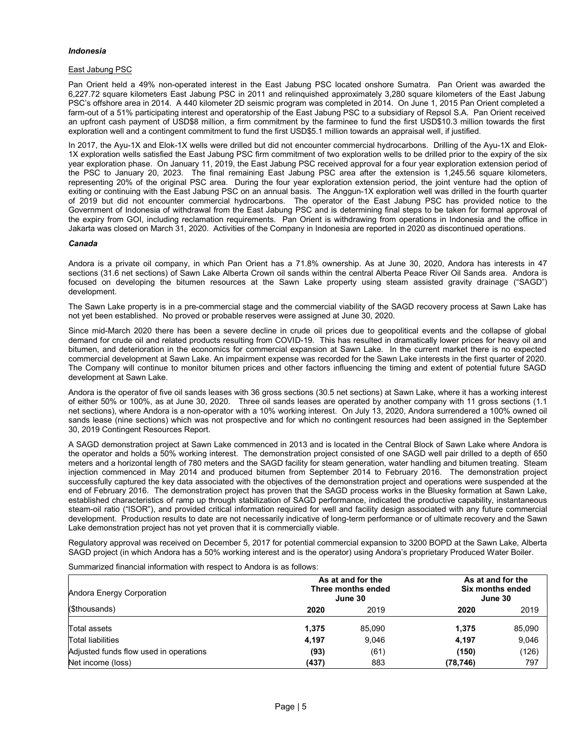# Indonesia

# East Jabung PSC

Pan Orient held a 49% non-operated interest in the East Jabung PSC located onshore Sumatra. Pan Orient was awarded the 6,227.72 square kilometers East Jabung PSC in 2011 and relinquished approximately 3,280 square kilometers of the East Jabung PSC's offshore area in 2014. A 440 kilometer 2D seismic program was completed in 2014. On June 1, 2015 Pan Orient completed a farm-out of a 51% participating interest and operatorship of the East Jabung PSC to a subsidiary of Repsol S.A. Pan Orient received an upfront cash payment of USD\$8 million, a firm commitment by the farminee to fund the first USD\$10.3 million towards the first exploration well and a contingent commitment to fund the first USD\$5.1 million towards an appraisal well, if justified.

In 2017, the Ayu-1X and Elok-1X wells were drilled but did not encounter commercial hydrocarbons. Drilling of the Ayu-1X and Elok-1X exploration wells satisfied the East Jabung PSC firm commitment of two exploration wells to be drilled prior to the expiry of the six year exploration phase. On January 11, 2019, the East Jabung PSC received approval for a four year exploration extension period of the PSC to January 20, 2023. The final remaining East Jabung PSC area after the extension is 1,245.56 square kilometers, representing 20% of the original PSC area. During the four year exploration extension period, the joint venture had the option of exiting or continuing with the East Jabung PSC on an annual basis. The Anggun-1X exploration well was drilled in the fourth quarter of 2019 but did not encounter commercial hydrocarbons. The operator of the East Jabung PSC has provided notice to the Government of Indonesia of withdrawal from the East Jabung PSC and is determining final steps to be taken for formal approval of the expiry from GOI, including reclamation requirements. Pan Orient is withdrawing from operations in Indonesia and the office in Jakarta was closed on March 31, 2020. Activities of the Company in Indonesia are reported in 2020 as discontinued operations.

#### Canada

Andora is a private oil company, in which Pan Orient has a 71.8% ownership. As at June 30, 2020, Andora has interests in 47 sections (31.6 net sections) of Sawn Lake Alberta Crown oil sands within the central Alberta Peace River Oil Sands area. Andora is focused on developing the bitumen resources at the Sawn Lake property using steam assisted gravity drainage ("SAGD") development.

The Sawn Lake property is in a pre-commercial stage and the commercial viability of the SAGD recovery process at Sawn Lake has not yet been established. No proved or probable reserves were assigned at June 30, 2020.

Since mid-March 2020 there has been a severe decline in crude oil prices due to geopolitical events and the collapse of global demand for crude oil and related products resulting from COVID-19. This has resulted in dramatically lower prices for heavy oil and bitumen, and deterioration in the economics for commercial expansion at Sawn Lake. In the current market there is no expected commercial development at Sawn Lake. An impairment expense was recorded for the Sawn Lake interests in the first quarter of 2020. The Company will continue to monitor bitumen prices and other factors influencing the timing and extent of potential future SAGD development at Sawn Lake.

Andora is the operator of five oil sands leases with 36 gross sections (30.5 net sections) at Sawn Lake, where it has a working interest of either 50% or 100%, as at June 30, 2020. Three oil sands leases are operated by another company with 11 gross sections (1.1 net sections), where Andora is a non-operator with a 10% working interest. On July 13, 2020, Andora surrendered a 100% owned oil sands lease (nine sections) which was not prospective and for which no contingent resources had been assigned in the September 30, 2019 Contingent Resources Report.

A SAGD demonstration project at Sawn Lake commenced in 2013 and is located in the Central Block of Sawn Lake where Andora is the operator and holds a 50% working interest. The demonstration project consisted of one SAGD well pair drilled to a depth of 650 meters and a horizontal length of 780 meters and the SAGD facility for steam generation, water handling and bitumen treating. Steam injection commenced in May 2014 and produced bitumen from September 2014 to February 2016. The demonstration project successfully captured the key data associated with the objectives of the demonstration project and operations were suspended at the end of February 2016. The demonstration project has proven that the SAGD process works in the Bluesky formation at Sawn Lake, established characteristics of ramp up through stabilization of SAGD performance, indicated the productive capability, instantaneous steam-oil ratio ("ISOR"), and provided critical information required for well and facility design associated with any future commercial development. Production results to date are not necessarily indicative of long-term performance or of ultimate recovery and the Sawn Lake demonstration project has not yet proven that it is commercially viable.

Regulatory approval was received on December 5, 2017 for potential commercial expansion to 3200 BOPD at the Sawn Lake, Alberta SAGD project (in which Andora has a 50% working interest and is the operator) using Andora's proprietary Produced Water Boiler.

Summarized financial information with respect to Andora is as follows:

| Andora Energy Corporation              | As at and for the<br>Three months ended<br>June 30 |        |           | As at and for the<br>Six months ended<br>June 30 |
|----------------------------------------|----------------------------------------------------|--------|-----------|--------------------------------------------------|
| (\$thousands)                          | 2020                                               | 2019   | 2020      | 2019                                             |
| Total assets                           | 1.375                                              | 85.090 | 1.375     | 85,090                                           |
| Total liabilities                      | 4.197                                              | 9,046  | 4,197     | 9,046                                            |
| Adjusted funds flow used in operations | (93)                                               | (61)   | (150)     | (126)                                            |
| Net income (loss)                      | (437)                                              | 883    | (78, 746) | 797                                              |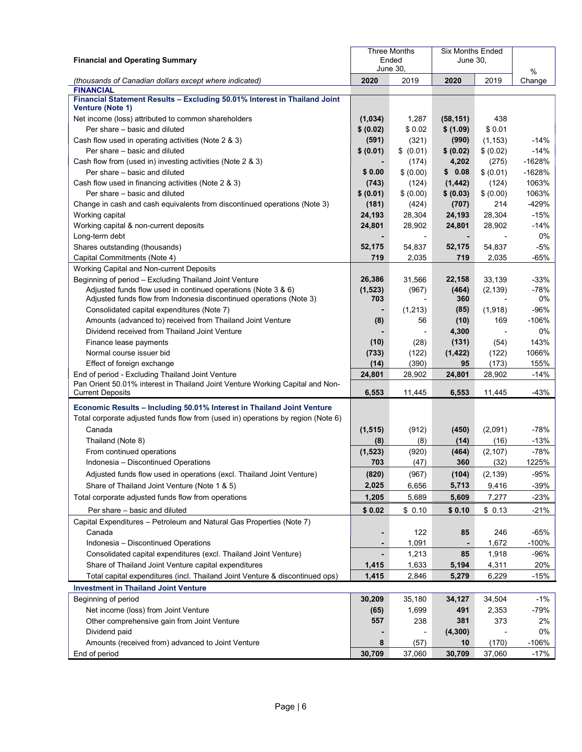| <b>Financial and Operating Summary</b>                                                               |                | <b>Three Months</b><br>Ended<br>June 30. | <b>Six Months Ended</b><br>June 30, |           |             |
|------------------------------------------------------------------------------------------------------|----------------|------------------------------------------|-------------------------------------|-----------|-------------|
| (thousands of Canadian dollars except where indicated)                                               | 2020           | 2019                                     | 2020                                | 2019      | %<br>Change |
| <b>FINANCIAL</b>                                                                                     |                |                                          |                                     |           |             |
| Financial Statement Results - Excluding 50.01% Interest in Thailand Joint<br><b>Venture (Note 1)</b> |                |                                          |                                     |           |             |
| Net income (loss) attributed to common shareholders                                                  | (1,034)        | 1,287                                    | (58, 151)                           | 438       |             |
| Per share - basic and diluted                                                                        | \$ (0.02)      | \$0.02                                   | \$ (1.09)                           | \$0.01    |             |
| Cash flow used in operating activities (Note 2 & 3)                                                  | (591)          | (321)                                    | (990)                               | (1, 153)  | $-14%$      |
| Per share - basic and diluted                                                                        | \$ (0.01)      | \$ (0.01)                                | \$ (0.02)                           | \$ (0.02) | $-14%$      |
| Cash flow from (used in) investing activities (Note 2 & 3)                                           | $\blacksquare$ | (174)                                    | 4,202                               | (275)     | $-1628%$    |
| Per share - basic and diluted                                                                        | \$0.00         | \$ (0.00)                                | \$0.08                              | \$ (0.01) | $-1628%$    |
| Cash flow used in financing activities (Note 2 & 3)                                                  | (743)          | (124)                                    | (1, 442)                            | (124)     | 1063%       |
| Per share – basic and diluted                                                                        | \$ (0.01)      | \$ (0.00)                                | \$ (0.03)                           | \$ (0.00) | 1063%       |
| Change in cash and cash equivalents from discontinued operations (Note 3)                            | (181)          | (424)                                    | (707)                               | 214       | -429%       |
| Working capital                                                                                      | 24,193         | 28,304                                   | 24,193                              | 28,304    | $-15%$      |
| Working capital & non-current deposits                                                               | 24,801         | 28,902                                   | 24,801                              | 28,902    | $-14%$      |
| Long-term debt                                                                                       |                | $\overline{\phantom{a}}$                 |                                     |           | 0%          |
| Shares outstanding (thousands)                                                                       | 52,175<br>719  | 54,837                                   | 52,175                              | 54,837    | $-5%$       |
| Capital Commitments (Note 4)                                                                         |                | 2,035                                    | 719                                 | 2,035     | $-65%$      |
| Working Capital and Non-current Deposits<br>Beginning of period - Excluding Thailand Joint Venture   | 26,386         |                                          |                                     | 33,139    | $-33%$      |
| Adjusted funds flow used in continued operations (Note 3 & 6)                                        | (1, 523)       | 31,566<br>(967)                          | 22,158<br>(464)                     | (2, 139)  | $-78%$      |
| Adjusted funds flow from Indonesia discontinued operations (Note 3)                                  | 703            |                                          | 360                                 |           | 0%          |
| Consolidated capital expenditures (Note 7)                                                           | $\blacksquare$ | (1,213)                                  | (85)                                | (1,918)   | $-96%$      |
| Amounts (advanced to) received from Thailand Joint Venture                                           | (8)            | 56                                       | (10)                                | 169       | $-106%$     |
| Dividend received from Thailand Joint Venture                                                        |                | $\overline{\phantom{a}}$                 | 4,300                               |           | $0\%$       |
| Finance lease payments                                                                               | (10)           | (28)                                     | (131)                               | (54)      | 143%        |
| Normal course issuer bid                                                                             | (733)          | (122)                                    | (1, 422)                            | (122)     | 1066%       |
| Effect of foreign exchange                                                                           | (14)           | (390)                                    | 95                                  | (173)     | 155%        |
| End of period - Excluding Thailand Joint Venture                                                     | 24,801         | 28,902                                   | 24,801                              | 28,902    | $-14%$      |
| Pan Orient 50.01% interest in Thailand Joint Venture Working Capital and Non-                        | 6,553          |                                          | 6,553                               |           |             |
| <b>Current Deposits</b>                                                                              |                | 11,445                                   |                                     | 11,445    | $-43%$      |
| Economic Results - Including 50.01% Interest in Thailand Joint Venture                               |                |                                          |                                     |           |             |
| Total corporate adjusted funds flow from (used in) operations by region (Note 6)                     |                |                                          |                                     |           |             |
| Canada                                                                                               | (1, 515)       | (912)                                    | (450)                               | (2,091)   | -78%        |
| Thailand (Note 8)                                                                                    | (8)            | (8)                                      | (14)                                | (16)      | $-13%$      |
| From continued operations                                                                            | (1, 523)       | (920)                                    | (464)                               | (2, 107)  | $-78%$      |
| Indonesia - Discontinued Operations                                                                  | 703            | (47)                                     | 360                                 | (32)      | 1225%       |
| Adjusted funds flow used in operations (excl. Thailand Joint Venture)                                | (820)          | (967)                                    | (104)                               | (2, 139)  | $-95%$      |
| Share of Thailand Joint Venture (Note 1 & 5)                                                         | 2,025          | 6,656                                    | 5,713                               | 9,416     | $-39%$      |
| Total corporate adjusted funds flow from operations                                                  | 1,205          | 5,689                                    | 5,609                               | 7,277     | $-23%$      |
| Per share - basic and diluted                                                                        | \$0.02         | \$0.10                                   | \$0.10                              | \$0.13    | $-21%$      |
| Capital Expenditures - Petroleum and Natural Gas Properties (Note 7)                                 |                |                                          |                                     |           |             |
| Canada                                                                                               | ٠              | 122                                      | 85                                  | 246       | $-65%$      |
| Indonesia - Discontinued Operations                                                                  | $\blacksquare$ | 1,091                                    |                                     | 1,672     | $-100%$     |
| Consolidated capital expenditures (excl. Thailand Joint Venture)                                     |                | 1,213                                    | 85                                  | 1,918     | $-96%$      |
| Share of Thailand Joint Venture capital expenditures                                                 | 1,415          | 1,633                                    | 5,194                               | 4,311     | 20%         |
| Total capital expenditures (incl. Thailand Joint Venture & discontinued ops)                         | 1,415          | 2,846                                    | 5,279                               | 6,229     | $-15%$      |
| <b>Investment in Thailand Joint Venture</b>                                                          |                |                                          |                                     |           |             |
| Beginning of period                                                                                  | 30,209         | 35,180                                   | 34,127                              | 34,504    | $-1%$       |
| Net income (loss) from Joint Venture                                                                 | (65)           | 1,699                                    | 491                                 | 2,353     | -79%        |
| Other comprehensive gain from Joint Venture                                                          | 557            | 238                                      | 381                                 | 373       | 2%          |
| Dividend paid                                                                                        |                |                                          | (4, 300)                            |           | 0%          |
| Amounts (received from) advanced to Joint Venture                                                    | 8              | (57)                                     | 10                                  | (170)     | $-106%$     |
| End of period                                                                                        | 30,709         | 37,060                                   | 30,709                              | 37,060    | $-17%$      |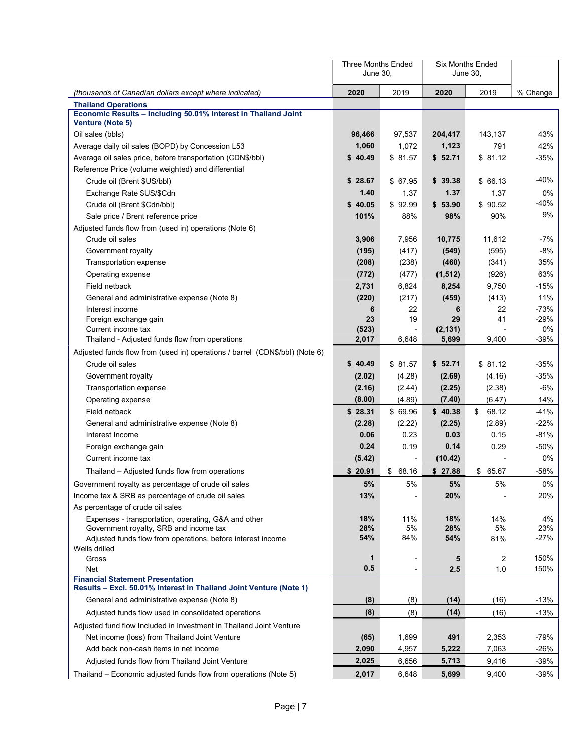|                                                                                                               | Three Months Ended<br>June 30, |                          |                   | Six Months Ended<br>June 30, |              |
|---------------------------------------------------------------------------------------------------------------|--------------------------------|--------------------------|-------------------|------------------------------|--------------|
| (thousands of Canadian dollars except where indicated)                                                        | 2020                           | 2019                     | 2020              | 2019                         | % Change     |
| <b>Thailand Operations</b>                                                                                    |                                |                          |                   |                              |              |
| Economic Results - Including 50.01% Interest in Thailand Joint<br>Venture (Note 5)                            |                                |                          |                   |                              |              |
| Oil sales (bbls)                                                                                              | 96,466                         | 97,537                   | 204,417           | 143,137                      | 43%          |
| Average daily oil sales (BOPD) by Concession L53                                                              | 1,060                          | 1,072                    | 1,123             | 791                          | 42%          |
| Average oil sales price, before transportation (CDN\$/bbl)                                                    | \$40.49                        | \$81.57                  | \$52.71           | \$81.12                      | $-35%$       |
| Reference Price (volume weighted) and differential                                                            |                                |                          |                   |                              |              |
| Crude oil (Brent \$US/bbl)                                                                                    | \$28.67                        | \$ 67.95                 | \$39.38           | \$66.13                      | $-40%$       |
| Exchange Rate \$US/\$Cdn                                                                                      | 1.40                           | 1.37                     | 1.37              | 1.37                         | $0\%$        |
| Crude oil (Brent \$Cdn/bbl)                                                                                   | \$40.05                        | \$92.99                  | \$53.90           | \$90.52                      | -40%         |
| Sale price / Brent reference price                                                                            | 101%                           | 88%                      | 98%               | 90%                          | 9%           |
| Adjusted funds flow from (used in) operations (Note 6)                                                        |                                |                          |                   |                              |              |
| Crude oil sales                                                                                               | 3,906                          | 7,956                    | 10,775            | 11,612                       | -7%          |
| Government royalty                                                                                            | (195)                          | (417)                    | (549)             | (595)                        | -8%          |
| Transportation expense                                                                                        | (208)                          | (238)                    | (460)             | (341)                        | 35%          |
| Operating expense                                                                                             | (772)                          | (477)                    | (1, 512)          | (926)                        | 63%          |
| Field netback                                                                                                 | 2,731                          | 6,824                    | 8,254             | 9,750                        | $-15%$       |
| General and administrative expense (Note 8)                                                                   | (220)                          | (217)                    | (459)             | (413)                        | 11%          |
| Interest income                                                                                               | 6                              | 22                       | 6                 | 22                           | $-73%$       |
| Foreign exchange gain                                                                                         | 23                             | 19                       | 29                | 41                           | $-29%$       |
| Current income tax<br>Thailand - Adjusted funds flow from operations                                          | (523)<br>2,017                 | 6,648                    | (2, 131)<br>5,699 | 9,400                        | 0%<br>$-39%$ |
| Adjusted funds flow from (used in) operations / barrel (CDN\$/bbl) (Note 6)                                   |                                |                          |                   |                              |              |
| Crude oil sales                                                                                               | \$40.49                        | \$81.57                  | \$52.71           | \$81.12                      | $-35%$       |
|                                                                                                               | (2.02)                         |                          | (2.69)            | (4.16)                       | $-35%$       |
| Government royalty<br>Transportation expense                                                                  | (2.16)                         | (4.28)<br>(2.44)         | (2.25)            | (2.38)                       | -6%          |
| Operating expense                                                                                             | (8.00)                         | (4.89)                   | (7.40)            | (6.47)                       | 14%          |
| Field netback                                                                                                 | \$28.31                        | \$ 69.96                 | \$40.38           | 68.12<br>\$                  | $-41%$       |
| General and administrative expense (Note 8)                                                                   | (2.28)                         | (2.22)                   | (2.25)            | (2.89)                       | $-22%$       |
| Interest Income                                                                                               | 0.06                           | 0.23                     | 0.03              | 0.15                         | $-81%$       |
| Foreign exchange gain                                                                                         | 0.24                           | 0.19                     | 0.14              | 0.29                         | $-50%$       |
| Current income tax                                                                                            | (5.42)                         | $\overline{\phantom{a}}$ | (10.42)           |                              | 0%           |
| Thailand – Adjusted funds flow from operations                                                                | \$20.91                        | \$68.16                  | \$27.88           | 65.67<br>\$                  | $-58%$       |
| Government royalty as percentage of crude oil sales                                                           | 5%                             | 5%                       | 5%                | 5%                           | 0%           |
| Income tax & SRB as percentage of crude oil sales                                                             | 13%                            |                          | 20%               |                              | 20%          |
| As percentage of crude oil sales                                                                              |                                |                          |                   |                              |              |
| Expenses - transportation, operating, G&A and other                                                           | 18%                            | 11%                      | 18%               | 14%                          | 4%           |
| Government royalty, SRB and income tax                                                                        | 28%                            | 5%                       | 28%               | 5%                           | 23%          |
| Adjusted funds flow from operations, before interest income                                                   | 54%                            | 84%                      | 54%               | 81%                          | $-27%$       |
| Wells drilled                                                                                                 |                                |                          |                   |                              |              |
| Gross<br>Net                                                                                                  | 1<br>0.5                       | $\overline{\phantom{a}}$ | 5<br>2.5          | $\overline{c}$<br>1.0        | 150%<br>150% |
| <b>Financial Statement Presentation</b><br>Results - Excl. 50.01% Interest in Thailand Joint Venture (Note 1) |                                |                          |                   |                              |              |
| General and administrative expense (Note 8)                                                                   | (8)                            | (8)                      | (14)              | (16)                         | $-13%$       |
| Adjusted funds flow used in consolidated operations                                                           | (8)                            | (8)                      | (14)              | (16)                         | $-13%$       |
| Adjusted fund flow Included in Investment in Thailand Joint Venture                                           |                                |                          |                   |                              |              |
| Net income (loss) from Thailand Joint Venture                                                                 | (65)                           | 1,699                    | 491               | 2,353                        | $-79%$       |
| Add back non-cash items in net income                                                                         | 2,090                          | 4,957                    | 5,222             | 7,063                        | $-26%$       |
| Adjusted funds flow from Thailand Joint Venture                                                               | 2,025                          | 6,656                    | 5,713             | 9,416                        | -39%         |
| Thailand – Economic adjusted funds flow from operations (Note 5)                                              | 2,017                          | 6,648                    | 5,699             | 9,400                        | $-39%$       |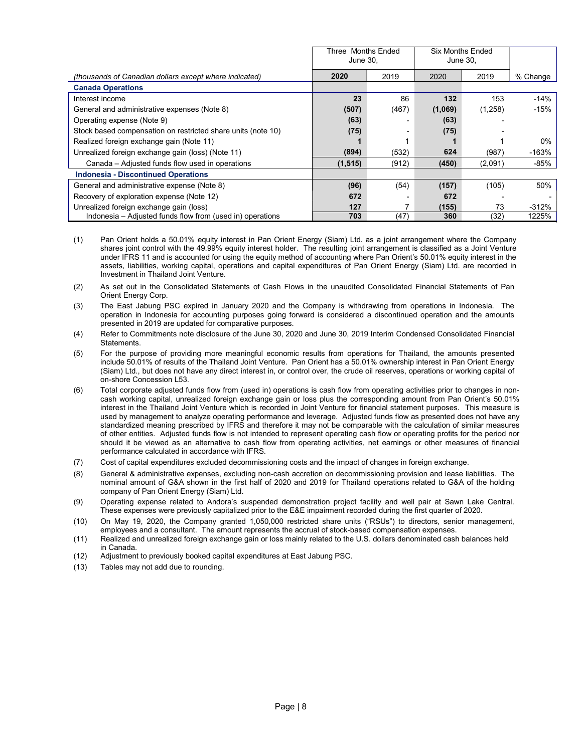|                                                              | Three Months Ended<br>June 30. |       | <b>Six Months Ended</b><br>June 30. |         |          |
|--------------------------------------------------------------|--------------------------------|-------|-------------------------------------|---------|----------|
| (thousands of Canadian dollars except where indicated)       | 2020                           | 2019  | 2020                                | 2019    | % Change |
| <b>Canada Operations</b>                                     |                                |       |                                     |         |          |
| Interest income                                              | 23                             | 86    | 132                                 | 153     | $-14%$   |
| General and administrative expenses (Note 8)                 | (507)                          | (467) | (1,069)                             | (1,258) | $-15%$   |
| Operating expense (Note 9)                                   | (63)                           |       | (63)                                |         |          |
| Stock based compensation on restricted share units (note 10) | (75)                           |       | (75)                                |         |          |
| Realized foreign exchange gain (Note 11)                     |                                |       |                                     |         | $0\%$    |
| Unrealized foreign exchange gain (loss) (Note 11)            | (894)                          | (532) | 624                                 | (987)   | $-163%$  |
| Canada – Adiusted funds flow used in operations              | (1, 515)                       | (912) | (450)                               | (2,091) | -85%     |
| <b>Indonesia - Discontinued Operations</b>                   |                                |       |                                     |         |          |
| General and administrative expense (Note 8)                  | (96)                           | (54)  | (157)                               | (105)   | 50%      |
| Recovery of exploration expense (Note 12)                    | 672                            |       | 672                                 |         |          |
| Unrealized foreign exchange gain (loss)                      | 127                            |       | (155)                               | 73      | $-312%$  |
| Indonesia - Adjusted funds flow from (used in) operations    | 703                            | (47)  | 360                                 | (32)    | 1225%    |

- (1) Pan Orient holds a 50.01% equity interest in Pan Orient Energy (Siam) Ltd. as a joint arrangement where the Company shares joint control with the 49.99% equity interest holder. The resulting joint arrangement is classified as a Joint Venture under IFRS 11 and is accounted for using the equity method of accounting where Pan Orient's 50.01% equity interest in the assets, liabilities, working capital, operations and capital expenditures of Pan Orient Energy (Siam) Ltd. are recorded in Investment in Thailand Joint Venture.
- (2) As set out in the Consolidated Statements of Cash Flows in the unaudited Consolidated Financial Statements of Pan Orient Energy Corp.
- (3) The East Jabung PSC expired in January 2020 and the Company is withdrawing from operations in Indonesia. The operation in Indonesia for accounting purposes going forward is considered a discontinued operation and the amounts presented in 2019 are updated for comparative purposes.
- (4) Refer to Commitments note disclosure of the June 30, 2020 and June 30, 2019 Interim Condensed Consolidated Financial **Statements**
- (5) For the purpose of providing more meaningful economic results from operations for Thailand, the amounts presented include 50.01% of results of the Thailand Joint Venture. Pan Orient has a 50.01% ownership interest in Pan Orient Energy (Siam) Ltd., but does not have any direct interest in, or control over, the crude oil reserves, operations or working capital of on-shore Concession L53.
- (6) Total corporate adjusted funds flow from (used in) operations is cash flow from operating activities prior to changes in noncash working capital, unrealized foreign exchange gain or loss plus the corresponding amount from Pan Orient's 50.01% interest in the Thailand Joint Venture which is recorded in Joint Venture for financial statement purposes. This measure is used by management to analyze operating performance and leverage. Adjusted funds flow as presented does not have any standardized meaning prescribed by IFRS and therefore it may not be comparable with the calculation of similar measures of other entities. Adjusted funds flow is not intended to represent operating cash flow or operating profits for the period nor should it be viewed as an alternative to cash flow from operating activities, net earnings or other measures of financial performance calculated in accordance with IFRS.
- (7) Cost of capital expenditures excluded decommissioning costs and the impact of changes in foreign exchange.
- (8) General & administrative expenses, excluding non-cash accretion on decommissioning provision and lease liabilities. The nominal amount of G&A shown in the first half of 2020 and 2019 for Thailand operations related to G&A of the holding company of Pan Orient Energy (Siam) Ltd.
- (9) Operating expense related to Andora's suspended demonstration project facility and well pair at Sawn Lake Central. These expenses were previously capitalized prior to the E&E impairment recorded during the first quarter of 2020.
- (10) On May 19, 2020, the Company granted 1,050,000 restricted share units ("RSUs") to directors, senior management, employees and a consultant. The amount represents the accrual of stock-based compensation expenses.
- (11) Realized and unrealized foreign exchange gain or loss mainly related to the U.S. dollars denominated cash balances held in Canada.
- (12) Adjustment to previously booked capital expenditures at East Jabung PSC.
- (13) Tables may not add due to rounding.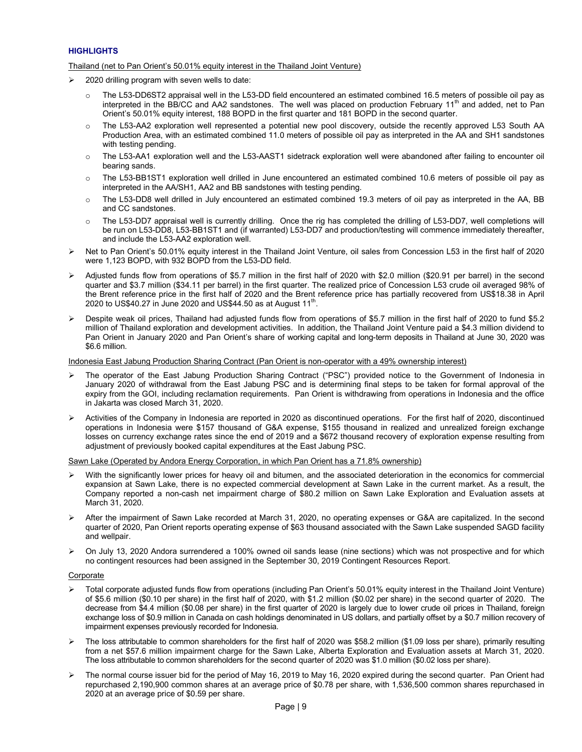# **HIGHLIGHTS**

# Thailand (net to Pan Orient's 50.01% equity interest in the Thailand Joint Venture)

- $\geq$  2020 drilling program with seven wells to date:
	- $\circ$  The L53-DD6ST2 appraisal well in the L53-DD field encountered an estimated combined 16.5 meters of possible oil pay as interpreted in the BB/CC and AA2 sandstones. The well was placed on production February 11<sup>th</sup> and added, net to Pan Orient's 50.01% equity interest, 188 BOPD in the first quarter and 181 BOPD in the second quarter.
	- o The L53-AA2 exploration well represented a potential new pool discovery, outside the recently approved L53 South AA Production Area, with an estimated combined 11.0 meters of possible oil pay as interpreted in the AA and SH1 sandstones with testing pending.
	- o The L53-AA1 exploration well and the L53-AAST1 sidetrack exploration well were abandoned after failing to encounter oil bearing sands.
	- o The L53-BB1ST1 exploration well drilled in June encountered an estimated combined 10.6 meters of possible oil pay as interpreted in the AA/SH1, AA2 and BB sandstones with testing pending.
	- o The L53-DD8 well drilled in July encountered an estimated combined 19.3 meters of oil pay as interpreted in the AA, BB and CC sandstones.
	- o The L53-DD7 appraisal well is currently drilling. Once the rig has completed the drilling of L53-DD7, well completions will be run on L53-DD8, L53-BB1ST1 and (if warranted) L53-DD7 and production/testing will commence immediately thereafter, and include the L53-AA2 exploration well.
- ▶ Net to Pan Orient's 50.01% equity interest in the Thailand Joint Venture, oil sales from Concession L53 in the first half of 2020 were 1,123 BOPD, with 932 BOPD from the L53-DD field.
- Adjusted funds flow from operations of \$5.7 million in the first half of 2020 with \$2.0 million (\$20.91 per barrel) in the second quarter and \$3.7 million (\$34.11 per barrel) in the first quarter. The realized price of Concession L53 crude oil averaged 98% of the Brent reference price in the first half of 2020 and the Brent reference price has partially recovered from US\$18.38 in April 2020 to US\$40.27 in June 2020 and US\$44.50 as at August 11<sup>th</sup>.
- Despite weak oil prices, Thailand had adjusted funds flow from operations of \$5.7 million in the first half of 2020 to fund \$5.2 million of Thailand exploration and development activities. In addition, the Thailand Joint Venture paid a \$4.3 million dividend to Pan Orient in January 2020 and Pan Orient's share of working capital and long-term deposits in Thailand at June 30, 2020 was \$6.6 million.

# Indonesia East Jabung Production Sharing Contract (Pan Orient is non-operator with a 49% ownership interest)

- The operator of the East Jabung Production Sharing Contract ("PSC") provided notice to the Government of Indonesia in January 2020 of withdrawal from the East Jabung PSC and is determining final steps to be taken for formal approval of the expiry from the GOI, including reclamation requirements. Pan Orient is withdrawing from operations in Indonesia and the office in Jakarta was closed March 31, 2020.
- Activities of the Company in Indonesia are reported in 2020 as discontinued operations. For the first half of 2020, discontinued operations in Indonesia were \$157 thousand of G&A expense, \$155 thousand in realized and unrealized foreign exchange losses on currency exchange rates since the end of 2019 and a \$672 thousand recovery of exploration expense resulting from adjustment of previously booked capital expenditures at the East Jabung PSC.

# Sawn Lake (Operated by Andora Energy Corporation, in which Pan Orient has a 71.8% ownership)

- With the significantly lower prices for heavy oil and bitumen, and the associated deterioration in the economics for commercial expansion at Sawn Lake, there is no expected commercial development at Sawn Lake in the current market. As a result, the Company reported a non-cash net impairment charge of \$80.2 million on Sawn Lake Exploration and Evaluation assets at March 31, 2020.
- After the impairment of Sawn Lake recorded at March 31, 2020, no operating expenses or G&A are capitalized. In the second quarter of 2020, Pan Orient reports operating expense of \$63 thousand associated with the Sawn Lake suspended SAGD facility and wellpair.
- On July 13, 2020 Andora surrendered a 100% owned oil sands lease (nine sections) which was not prospective and for which no contingent resources had been assigned in the September 30, 2019 Contingent Resources Report.

# **Corporate**

- Total corporate adjusted funds flow from operations (including Pan Orient's 50.01% equity interest in the Thailand Joint Venture) of \$5.6 million (\$0.10 per share) in the first half of 2020, with \$1.2 million (\$0.02 per share) in the second quarter of 2020. The decrease from \$4.4 million (\$0.08 per share) in the first quarter of 2020 is largely due to lower crude oil prices in Thailand, foreign exchange loss of \$0.9 million in Canada on cash holdings denominated in US dollars, and partially offset by a \$0.7 million recovery of impairment expenses previously recorded for Indonesia.
- The loss attributable to common shareholders for the first half of 2020 was \$58.2 million (\$1.09 loss per share), primarily resulting from a net \$57.6 million impairment charge for the Sawn Lake, Alberta Exploration and Evaluation assets at March 31, 2020. The loss attributable to common shareholders for the second quarter of 2020 was \$1.0 million (\$0.02 loss per share).
- The normal course issuer bid for the period of May 16, 2019 to May 16, 2020 expired during the second quarter. Pan Orient had repurchased 2,190,900 common shares at an average price of \$0.78 per share, with 1,536,500 common shares repurchased in 2020 at an average price of \$0.59 per share.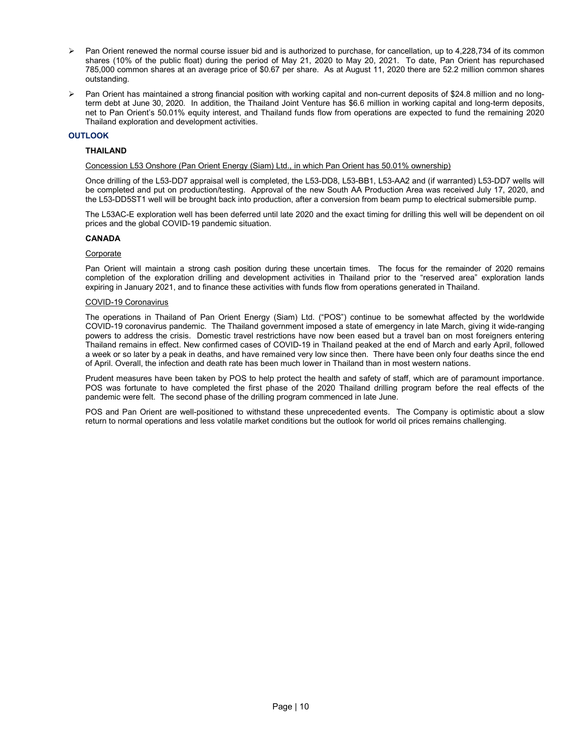- Pan Orient renewed the normal course issuer bid and is authorized to purchase, for cancellation, up to 4,228,734 of its common shares (10% of the public float) during the period of May 21, 2020 to May 20, 2021. To date, Pan Orient has repurchased 785,000 common shares at an average price of \$0.67 per share. As at August 11, 2020 there are 52.2 million common shares outstanding.
- Pan Orient has maintained a strong financial position with working capital and non-current deposits of \$24.8 million and no longterm debt at June 30, 2020. In addition, the Thailand Joint Venture has \$6.6 million in working capital and long-term deposits, net to Pan Orient's 50.01% equity interest, and Thailand funds flow from operations are expected to fund the remaining 2020 Thailand exploration and development activities.

# **OUTLOOK**

# THAILAND

#### Concession L53 Onshore (Pan Orient Energy (Siam) Ltd., in which Pan Orient has 50.01% ownership)

Once drilling of the L53-DD7 appraisal well is completed, the L53-DD8, L53-BB1, L53-AA2 and (if warranted) L53-DD7 wells will be completed and put on production/testing. Approval of the new South AA Production Area was received July 17, 2020, and the L53-DD5ST1 well will be brought back into production, after a conversion from beam pump to electrical submersible pump.

The L53AC-E exploration well has been deferred until late 2020 and the exact timing for drilling this well will be dependent on oil prices and the global COVID-19 pandemic situation.

# CANADA

#### Corporate

Pan Orient will maintain a strong cash position during these uncertain times. The focus for the remainder of 2020 remains completion of the exploration drilling and development activities in Thailand prior to the "reserved area" exploration lands expiring in January 2021, and to finance these activities with funds flow from operations generated in Thailand.

# COVID-19 Coronavirus

The operations in Thailand of Pan Orient Energy (Siam) Ltd. ("POS") continue to be somewhat affected by the worldwide COVID-19 coronavirus pandemic. The Thailand government imposed a state of emergency in late March, giving it wide-ranging powers to address the crisis. Domestic travel restrictions have now been eased but a travel ban on most foreigners entering Thailand remains in effect. New confirmed cases of COVID-19 in Thailand peaked at the end of March and early April, followed a week or so later by a peak in deaths, and have remained very low since then. There have been only four deaths since the end of April. Overall, the infection and death rate has been much lower in Thailand than in most western nations.

Prudent measures have been taken by POS to help protect the health and safety of staff, which are of paramount importance. POS was fortunate to have completed the first phase of the 2020 Thailand drilling program before the real effects of the pandemic were felt. The second phase of the drilling program commenced in late June.

POS and Pan Orient are well-positioned to withstand these unprecedented events. The Company is optimistic about a slow return to normal operations and less volatile market conditions but the outlook for world oil prices remains challenging.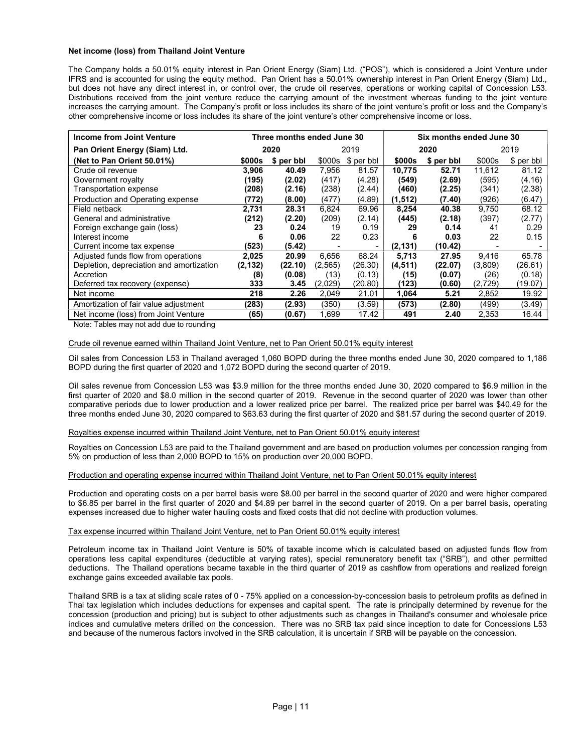# Net income (loss) from Thailand Joint Venture

The Company holds a 50.01% equity interest in Pan Orient Energy (Siam) Ltd. ("POS"), which is considered a Joint Venture under IFRS and is accounted for using the equity method. Pan Orient has a 50.01% ownership interest in Pan Orient Energy (Siam) Ltd., but does not have any direct interest in, or control over, the crude oil reserves, operations or working capital of Concession L53. Distributions received from the joint venture reduce the carrying amount of the investment whereas funding to the joint venture increases the carrying amount. The Company's profit or loss includes its share of the joint venture's profit or loss and the Company's other comprehensive income or loss includes its share of the joint venture's other comprehensive income or loss.

| Income from Joint Venture                | Three months ended June 30 |            |          |             |          | Six months ended June 30 |          |            |  |
|------------------------------------------|----------------------------|------------|----------|-------------|----------|--------------------------|----------|------------|--|
| Pan Orient Energy (Siam) Ltd.            |                            | 2020       |          | 2019        |          | 2020                     | 2019     |            |  |
| (Net to Pan Orient 50.01%)               | \$000s                     | \$ per bbl | \$000s   | $$$ per bbl | \$000s   | \$ per bbl               | \$000s   | \$ per bbl |  |
| Crude oil revenue                        | 3,906                      | 40.49      | 7,956    | 81.57       | 10,775   | 52.71                    | 11,612   | 81.12      |  |
| Government royalty                       | (195)                      | (2.02)     | (417)    | (4.28)      | (549)    | (2.69)                   | (595)    | (4.16)     |  |
| Transportation expense                   | (208)                      | (2.16)     | (238)    | (2.44)      | (460)    | (2.25)                   | (341)    | (2.38)     |  |
| Production and Operating expense         | (772)                      | (8.00)     | (477)    | (4.89)      | (1, 512) | (7.40)                   | (926)    | (6.47)     |  |
| Field netback                            | 2.731                      | 28.31      | 6.824    | 69.96       | 8,254    | 40.38                    | 9.750    | 68.12      |  |
| General and administrative               | (212)                      | (2.20)     | (209)    | (2.14)      | (445)    | (2.18)                   | (397)    | (2.77)     |  |
| Foreign exchange gain (loss)             | 23                         | 0.24       | 19       | 0.19        | 29       | 0.14                     | 41       | 0.29       |  |
| Interest income                          | 6                          | 0.06       | 22       | 0.23        | 6        | 0.03                     | 22       | 0.15       |  |
| Current income tax expense               | (523)                      | (5.42)     |          |             | (2, 131) | (10.42)                  |          |            |  |
| Adjusted funds flow from operations      | 2,025                      | 20.99      | 6,656    | 68.24       | 5,713    | 27.95                    | 9,416    | 65.78      |  |
| Depletion, depreciation and amortization | (2, 132)                   | (22.10)    | (2, 565) | (26.30)     | (4,511)  | (22.07)                  | (3,809)  | (26.61)    |  |
| Accretion                                | (8)                        | (0.08)     | (13)     | (0.13)      | (15)     | (0.07)                   | (26)     | (0.18)     |  |
| Deferred tax recovery (expense)          | 333                        | 3.45       | (2,029)  | (20.80)     | (123)    | (0.60)                   | (2, 729) | (19.07)    |  |
| Net income                               | 218                        | 2.26       | 2,049    | 21.01       | 1,064    | 5.21                     | 2,852    | 19.92      |  |
| Amortization of fair value adjustment    | (283)                      | (2.93)     | (350)    | (3.59)      | (573)    | (2.80)                   | (499)    | (3.49)     |  |
| Net income (loss) from Joint Venture     | (65)                       | (0.67)     | 1,699    | 17.42       | 491      | 2.40                     | 2,353    | 16.44      |  |

Note: Tables may not add due to rounding

# Crude oil revenue earned within Thailand Joint Venture, net to Pan Orient 50.01% equity interest

Oil sales from Concession L53 in Thailand averaged 1,060 BOPD during the three months ended June 30, 2020 compared to 1,186 BOPD during the first quarter of 2020 and 1,072 BOPD during the second quarter of 2019.

Oil sales revenue from Concession L53 was \$3.9 million for the three months ended June 30, 2020 compared to \$6.9 million in the first quarter of 2020 and \$8.0 million in the second quarter of 2019. Revenue in the second quarter of 2020 was lower than other comparative periods due to lower production and a lower realized price per barrel. The realized price per barrel was \$40.49 for the three months ended June 30, 2020 compared to \$63.63 during the first quarter of 2020 and \$81.57 during the second quarter of 2019.

# Royalties expense incurred within Thailand Joint Venture, net to Pan Orient 50.01% equity interest

Royalties on Concession L53 are paid to the Thailand government and are based on production volumes per concession ranging from 5% on production of less than 2,000 BOPD to 15% on production over 20,000 BOPD.

# Production and operating expense incurred within Thailand Joint Venture, net to Pan Orient 50.01% equity interest

Production and operating costs on a per barrel basis were \$8.00 per barrel in the second quarter of 2020 and were higher compared to \$6.85 per barrel in the first quarter of 2020 and \$4.89 per barrel in the second quarter of 2019. On a per barrel basis, operating expenses increased due to higher water hauling costs and fixed costs that did not decline with production volumes.

#### Tax expense incurred within Thailand Joint Venture, net to Pan Orient 50.01% equity interest

Petroleum income tax in Thailand Joint Venture is 50% of taxable income which is calculated based on adjusted funds flow from operations less capital expenditures (deductible at varying rates), special remuneratory benefit tax ("SRB"), and other permitted deductions. The Thailand operations became taxable in the third quarter of 2019 as cashflow from operations and realized foreign exchange gains exceeded available tax pools.

Thailand SRB is a tax at sliding scale rates of 0 - 75% applied on a concession-by-concession basis to petroleum profits as defined in Thai tax legislation which includes deductions for expenses and capital spent. The rate is principally determined by revenue for the concession (production and pricing) but is subject to other adjustments such as changes in Thailand's consumer and wholesale price indices and cumulative meters drilled on the concession. There was no SRB tax paid since inception to date for Concessions L53 and because of the numerous factors involved in the SRB calculation, it is uncertain if SRB will be payable on the concession.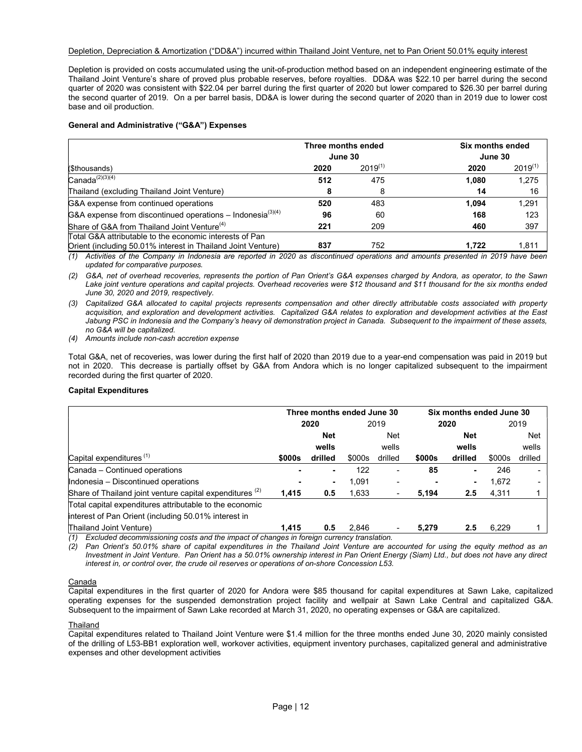# Depletion, Depreciation & Amortization ("DD&A") incurred within Thailand Joint Venture, net to Pan Orient 50.01% equity interest

Depletion is provided on costs accumulated using the unit-of-production method based on an independent engineering estimate of the Thailand Joint Venture's share of proved plus probable reserves, before royalties. DD&A was \$22.10 per barrel during the second quarter of 2020 was consistent with \$22.04 per barrel during the first quarter of 2020 but lower compared to \$26.30 per barrel during the second quarter of 2019. On a per barrel basis, DD&A is lower during the second quarter of 2020 than in 2019 due to lower cost base and oil production.

# General and Administrative ("G&A") Expenses

|                                                                  | Three months ended |              | Six months ended |              |  |
|------------------------------------------------------------------|--------------------|--------------|------------------|--------------|--|
|                                                                  | June 30            |              | June 30          |              |  |
| (\$thousands)                                                    | 2020               | $2019^{(1)}$ | 2020             | $2019^{(1)}$ |  |
| $Canada^{(2)(3)(4)}$                                             | 512                | 475          | 1.080            | 1,275        |  |
| Thailand (excluding Thailand Joint Venture)                      | 8                  | 8            | 14               | 16           |  |
| G&A expense from continued operations                            | 520                | 483          | 1.094            | 1,291        |  |
| G&A expense from discontinued operations – Indonesia $^{(3)(4)}$ | 96                 | 60           | 168              | 123          |  |
| Share of G&A from Thailand Joint Venture <sup>(4)</sup>          | 221                | 209          | 460              | 397          |  |
| Total G&A attributable to the economic interests of Pan          |                    |              |                  |              |  |
| Orient (including 50.01% interest in Thailand Joint Venture)     | 837                | 752          | 1.722            | 1,811        |  |

(1) Activities of the Company in Indonesia are reported in 2020 as discontinued operations and amounts presented in 2019 have been updated for comparative purposes.

(2) G&A, net of overhead recoveries, represents the portion of Pan Orient's G&A expenses charged by Andora, as operator, to the Sawn Lake joint venture operations and capital projects. Overhead recoveries were \$12 thousand and \$11 thousand for the six months ended June 30, 2020 and 2019, respectively.

(3) Capitalized G&A allocated to capital projects represents compensation and other directly attributable costs associated with property acquisition, and exploration and development activities. Capitalized G&A relates to exploration and development activities at the East Jabung PSC in Indonesia and the Company's heavy oil demonstration project in Canada. Subsequent to the impairment of these assets, no G&A will be capitalized.

(4) Amounts include non-cash accretion expense

Total G&A, net of recoveries, was lower during the first half of 2020 than 2019 due to a year-end compensation was paid in 2019 but not in 2020. This decrease is partially offset by G&A from Andora which is no longer capitalized subsequent to the impairment recorded during the first quarter of 2020.

# Capital Expenditures

|                                                                     | Three months ended June 30 |                |        |                | Six months ended June 30 |            |        |            |  |
|---------------------------------------------------------------------|----------------------------|----------------|--------|----------------|--------------------------|------------|--------|------------|--|
|                                                                     | 2020                       |                |        | 2019           |                          | 2020       |        | 2019       |  |
|                                                                     |                            | <b>Net</b>     |        | <b>Net</b>     |                          | <b>Net</b> |        | <b>Net</b> |  |
|                                                                     |                            | wells          |        | wells          |                          | wells      |        | wells      |  |
| Capital expenditures $(1)$                                          | \$000s                     | drilled        | \$000s | drilled        | \$000s                   | drilled    | \$000s | drilled    |  |
| Canada - Continued operations                                       |                            | ٠              | 122    | $\blacksquare$ | 85                       | ۰          | 246    |            |  |
| Indonesia - Discontinued operations                                 |                            | $\blacksquare$ | 1.091  | $\blacksquare$ |                          |            | 1.672  |            |  |
| Share of Thailand joint venture capital expenditures <sup>(2)</sup> | 1,415                      | 0.5            | 1.633  | -              | 5,194                    | 2.5        | 4,311  |            |  |
| Total capital expenditures attributable to the economic             |                            |                |        |                |                          |            |        |            |  |
| interest of Pan Orient (including 50.01% interest in                |                            |                |        |                |                          |            |        |            |  |
| Thailand Joint Venture)                                             | 1.415                      | 0.5            | 2.846  |                | 5.279                    | 2.5        | 6,229  |            |  |

(1) Excluded decommissioning costs and the impact of changes in foreign currency translation.

(2) Pan Orient's 50.01% share of capital expenditures in the Thailand Joint Venture are accounted for using the equity method as an Investment in Joint Venture. Pan Orient has a 50.01% ownership interest in Pan Orient Energy (Siam) Ltd., but does not have any direct interest in, or control over, the crude oil reserves or operations of on-shore Concession L53.

# Canada

Capital expenditures in the first quarter of 2020 for Andora were \$85 thousand for capital expenditures at Sawn Lake, capitalized operating expenses for the suspended demonstration project facility and wellpair at Sawn Lake Central and capitalized G&A. Subsequent to the impairment of Sawn Lake recorded at March 31, 2020, no operating expenses or G&A are capitalized.

# Thailand

Capital expenditures related to Thailand Joint Venture were \$1.4 million for the three months ended June 30, 2020 mainly consisted of the drilling of L53-BB1 exploration well, workover activities, equipment inventory purchases, capitalized general and administrative expenses and other development activities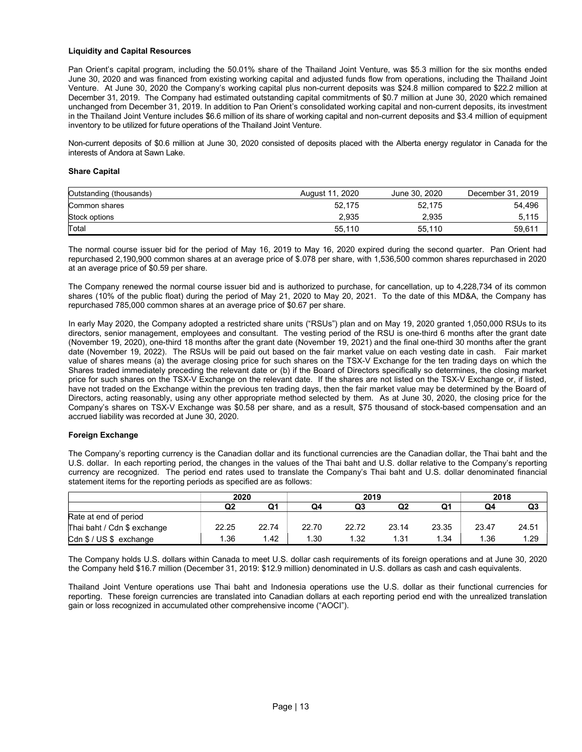# Liquidity and Capital Resources

Pan Orient's capital program, including the 50.01% share of the Thailand Joint Venture, was \$5.3 million for the six months ended June 30, 2020 and was financed from existing working capital and adjusted funds flow from operations, including the Thailand Joint Venture. At June 30, 2020 the Company's working capital plus non-current deposits was \$24.8 million compared to \$22.2 million at December 31, 2019. The Company had estimated outstanding capital commitments of \$0.7 million at June 30, 2020 which remained unchanged from December 31, 2019. In addition to Pan Orient's consolidated working capital and non-current deposits, its investment in the Thailand Joint Venture includes \$6.6 million of its share of working capital and non-current deposits and \$3.4 million of equipment inventory to be utilized for future operations of the Thailand Joint Venture.

Non-current deposits of \$0.6 million at June 30, 2020 consisted of deposits placed with the Alberta energy regulator in Canada for the interests of Andora at Sawn Lake.

# Share Capital

| Outstanding (thousands) | August 11, 2020 | June 30, 2020 | December 31, 2019 |
|-------------------------|-----------------|---------------|-------------------|
| Common shares           | 52,175          | 52,175        | 54,496            |
| Stock options           | 2.935           | 2.935         | 5,115             |
| Total                   | 55,110          | 55.110        | 59,611            |

The normal course issuer bid for the period of May 16, 2019 to May 16, 2020 expired during the second quarter. Pan Orient had repurchased 2,190,900 common shares at an average price of \$.078 per share, with 1,536,500 common shares repurchased in 2020 at an average price of \$0.59 per share.

The Company renewed the normal course issuer bid and is authorized to purchase, for cancellation, up to 4,228,734 of its common shares (10% of the public float) during the period of May 21, 2020 to May 20, 2021. To the date of this MD&A, the Company has repurchased 785,000 common shares at an average price of \$0.67 per share.

In early May 2020, the Company adopted a restricted share units ("RSUs") plan and on May 19, 2020 granted 1,050,000 RSUs to its directors, senior management, employees and consultant. The vesting period of the RSU is one-third 6 months after the grant date (November 19, 2020), one-third 18 months after the grant date (November 19, 2021) and the final one-third 30 months after the grant date (November 19, 2022). The RSUs will be paid out based on the fair market value on each vesting date in cash. Fair market value of shares means (a) the average closing price for such shares on the TSX-V Exchange for the ten trading days on which the Shares traded immediately preceding the relevant date or (b) if the Board of Directors specifically so determines, the closing market price for such shares on the TSX-V Exchange on the relevant date. If the shares are not listed on the TSX-V Exchange or, if listed, have not traded on the Exchange within the previous ten trading days, then the fair market value may be determined by the Board of Directors, acting reasonably, using any other appropriate method selected by them. As at June 30, 2020, the closing price for the Company's shares on TSX-V Exchange was \$0.58 per share, and as a result, \$75 thousand of stock-based compensation and an accrued liability was recorded at June 30, 2020.

# Foreign Exchange

The Company's reporting currency is the Canadian dollar and its functional currencies are the Canadian dollar, the Thai baht and the U.S. dollar. In each reporting period, the changes in the values of the Thai baht and U.S. dollar relative to the Company's reporting currency are recognized. The period end rates used to translate the Company's Thai baht and U.S. dollar denominated financial statement items for the reporting periods as specified are as follows:

|                             | 2020           |       | 2019  |       |       | 2018  |       |       |
|-----------------------------|----------------|-------|-------|-------|-------|-------|-------|-------|
|                             | Q <sub>2</sub> | Q1    | Q4    | Q3    | Q2    |       | Q4    | Q3    |
| Rate at end of period       |                |       |       |       |       |       |       |       |
| Thai baht / Cdn \$ exchange | 22.25          | 22.74 | 22.70 | 22.72 | 23.14 | 23.35 | 23.47 | 24.51 |
| Cdn \$ / US \$ exchange     | .36            | 1.42  | 1.30  | 1.32  | 1.31  | 1.34  | 1.36  | 1.29  |

The Company holds U.S. dollars within Canada to meet U.S. dollar cash requirements of its foreign operations and at June 30, 2020 the Company held \$16.7 million (December 31, 2019: \$12.9 million) denominated in U.S. dollars as cash and cash equivalents.

Thailand Joint Venture operations use Thai baht and Indonesia operations use the U.S. dollar as their functional currencies for reporting. These foreign currencies are translated into Canadian dollars at each reporting period end with the unrealized translation gain or loss recognized in accumulated other comprehensive income ("AOCI").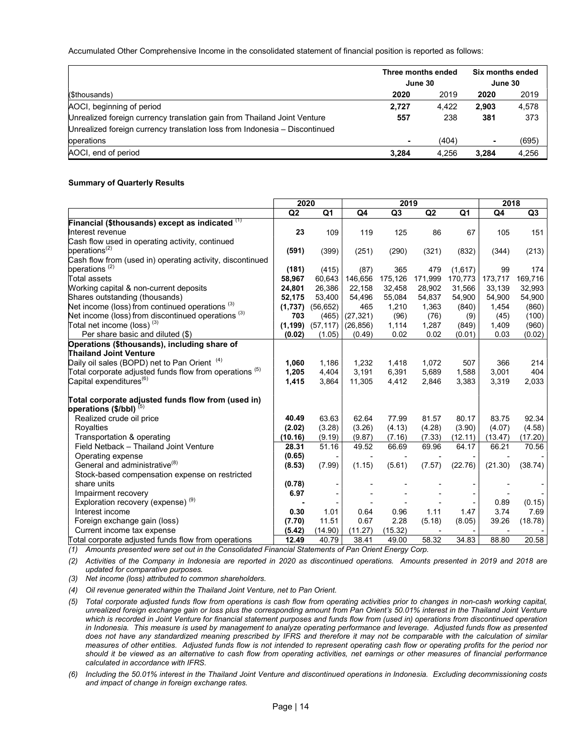Accumulated Other Comprehensive Income in the consolidated statement of financial position is reported as follows:

|                                                                            | Three months ended |       | <b>Six months ended</b> |       |  |
|----------------------------------------------------------------------------|--------------------|-------|-------------------------|-------|--|
|                                                                            | June 30            |       | June 30                 |       |  |
| (\$thousands)                                                              | 2020               | 2019  | 2020                    | 2019  |  |
| AOCI, beginning of period                                                  | 2.727              | 4.422 | 2.903                   | 4,578 |  |
| Unrealized foreign currency translation gain from Thailand Joint Venture   | 557                | 238   | 381                     | 373   |  |
| Unrealized foreign currency translation loss from Indonesia – Discontinued |                    |       |                         |       |  |
| operations                                                                 |                    | (404) | ٠                       | (695) |  |
| AOCI, end of period                                                        | 3.284              | 4,256 | 3.284                   | 4,256 |  |

# Summary of Quarterly Results

|                                                              | 2020           |           |           | 2019           |         |                | 2018    |                |
|--------------------------------------------------------------|----------------|-----------|-----------|----------------|---------|----------------|---------|----------------|
|                                                              | Q <sub>2</sub> | Q1        | Q4        | Q <sub>3</sub> | Q2      | Q <sub>1</sub> | Q4      | Q <sub>3</sub> |
| Financial (\$thousands) except as indicated $(1)$            |                |           |           |                |         |                |         |                |
| Interest revenue                                             | 23             | 109       | 119       | 125            | 86      | 67             | 105     | 151            |
| Cash flow used in operating activity, continued              |                |           |           |                |         |                |         |                |
| operations <sup>(2)</sup>                                    | (591)          | (399)     | (251)     | (290)          | (321)   | (832)          | (344)   | (213)          |
| Cash flow from (used in) operating activity, discontinued    |                |           |           |                |         |                |         |                |
| bperations <sup>(2)</sup>                                    | (181)          | (415)     | (87)      | 365            | 479     | (1,617)        | 99      | 174            |
| Total assets                                                 | 58,967         | 60,643    | 146,656   | 175,126        | 171,999 | 170,773        | 173,717 | 169,716        |
| Working capital & non-current deposits                       | 24,801         | 26,386    | 22,158    | 32,458         | 28,902  | 31,566         | 33,139  | 32,993         |
| Shares outstanding (thousands)                               | 52,175         | 53,400    | 54,496    | 55,084         | 54,837  | 54,900         | 54,900  | 54,900         |
| Net income (loss) from continued operations <sup>(3)</sup>   | (1,737)        | (56, 652) | 465       | 1,210          | 1,363   | (840)          | 1,454   | (860)          |
| Net income (loss) from discontinued operations $(3)$         | 703            | (465)     | (27, 321) | (96)           | (76)    | (9)            | (45)    | (100)          |
| Total net income (loss) $^{(3)}$                             | (1, 199)       | (57, 117) | (26, 856) | 1,114          | 1,287   | (849)          | 1,409   | (960)          |
| Per share basic and diluted (\$)                             | (0.02)         | (1.05)    | (0.49)    | 0.02           | 0.02    | (0.01)         | 0.03    | (0.02)         |
| Operations (\$thousands), including share of                 |                |           |           |                |         |                |         |                |
| <b>Thailand Joint Venture</b>                                |                |           |           |                |         |                |         |                |
| Daily oil sales (BOPD) net to Pan Orient <sup>(4)</sup>      | 1,060          | 1,186     | 1,232     | 1,418          | 1,072   | 507            | 366     | 214            |
| Total corporate adjusted funds flow from operations $^{(5)}$ | 1,205          | 4,404     | 3,191     | 6,391          | 5,689   | 1,588          | 3.001   | 404            |
| Capital expenditures <sup>(6)</sup>                          | 1,415          | 3,864     | 11,305    | 4,412          | 2,846   | 3,383          | 3,319   | 2,033          |
| Total corporate adjusted funds flow from (used in)           |                |           |           |                |         |                |         |                |
| operations $(\frac{5}{bb}I)$ (5)                             |                |           |           |                |         |                |         |                |
| Realized crude oil price                                     | 40.49          | 63.63     | 62.64     | 77.99          | 81.57   | 80.17          | 83.75   | 92.34          |
| Royalties                                                    | (2.02)         | (3.28)    | (3.26)    | (4.13)         | (4.28)  | (3.90)         | (4.07)  | (4.58)         |
| Transportation & operating                                   | (10.16)        | (9.19)    | (9.87)    | (7.16)         | (7.33)  | (12.11)        | (13.47) | (17.20)        |
| Field Netback - Thailand Joint Venture                       | 28.31          | 51.16     | 49.52     | 66.69          | 69.96   | 64.17          | 66.21   | 70.56          |
| Operating expense                                            | (0.65)         |           |           |                |         |                |         |                |
| General and administrative <sup>(8)</sup>                    | (8.53)         | (7.99)    | (1.15)    | (5.61)         | (7.57)  | (22.76)        | (21.30) | (38.74)        |
| Stock-based compensation expense on restricted               |                |           |           |                |         |                |         |                |
| share units                                                  | (0.78)         |           |           |                |         |                |         |                |
| Impairment recovery                                          | 6.97           |           |           |                |         |                |         |                |
| Exploration recovery (expense) <sup>(9)</sup>                |                |           |           |                |         |                | 0.89    | (0.15)         |
| Interest income                                              | 0.30           | 1.01      | 0.64      | 0.96           | 1.11    | 1.47           | 3.74    | 7.69           |
| Foreign exchange gain (loss)                                 | (7.70)         | 11.51     | 0.67      | 2.28           | (5.18)  | (8.05)         | 39.26   | (18.78)        |
| Current income tax expense                                   | (5.42)         | (14.90)   | (11.27)   | (15.32)        |         |                |         |                |
| Total corporate adjusted funds flow from operations          | 12.49          | 40.79     | 38.41     | 49.00          | 58.32   | 34.83          | 88.80   | 20.58          |

(1) Amounts presented were set out in the Consolidated Financial Statements of Pan Orient Energy Corp.

(2) Activities of the Company in Indonesia are reported in 2020 as discontinued operations. Amounts presented in 2019 and 2018 are updated for comparative purposes.

(3) Net income (loss) attributed to common shareholders.

(4) Oil revenue generated within the Thailand Joint Venture, net to Pan Orient.

(5) Total corporate adjusted funds flow from operations is cash flow from operating activities prior to changes in non-cash working capital, unrealized foreign exchange gain or loss plus the corresponding amount from Pan Orient's 50.01% interest in the Thailand Joint Venture which is recorded in Joint Venture for financial statement purposes and funds flow from (used in) operations from discontinued operation in Indonesia. This measure is used by management to analyze operating performance and leverage. Adjusted funds flow as presented does not have any standardized meaning prescribed by IFRS and therefore it may not be comparable with the calculation of similar measures of other entities. Adjusted funds flow is not intended to represent operating cash flow or operating profits for the period nor should it be viewed as an alternative to cash flow from operating activities, net earnings or other measures of financial performance calculated in accordance with IFRS.

(6) Including the 50.01% interest in the Thailand Joint Venture and discontinued operations in Indonesia. Excluding decommissioning costs and impact of change in foreign exchange rates.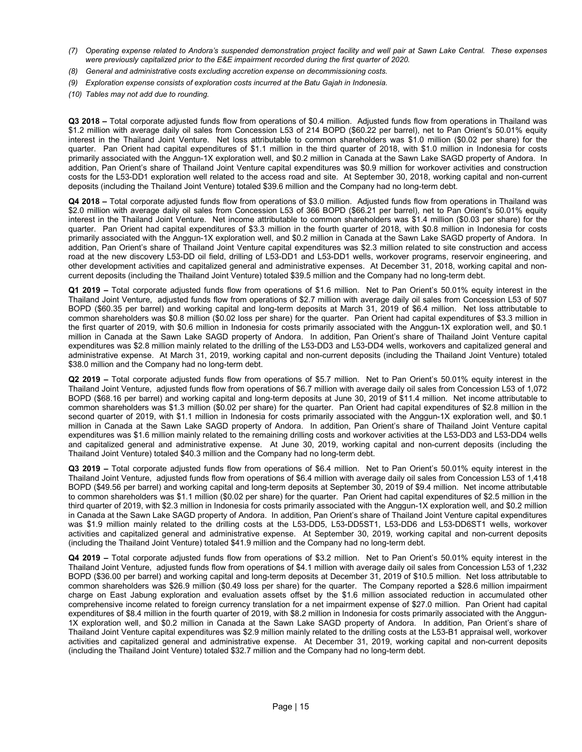- (7) Operating expense related to Andora's suspended demonstration project facility and well pair at Sawn Lake Central. These expenses were previously capitalized prior to the E&E impairment recorded during the first quarter of 2020.
- (8) General and administrative costs excluding accretion expense on decommissioning costs.
- (9) Exploration expense consists of exploration costs incurred at the Batu Gajah in Indonesia.
- (10) Tables may not add due to rounding.

Q3 2018 – Total corporate adjusted funds flow from operations of \$0.4 million. Adjusted funds flow from operations in Thailand was \$1.2 million with average daily oil sales from Concession L53 of 214 BOPD (\$60.22 per barrel), net to Pan Orient's 50.01% equity interest in the Thailand Joint Venture. Net loss attributable to common shareholders was \$1.0 million (\$0.02 per share) for the quarter. Pan Orient had capital expenditures of \$1.1 million in the third quarter of 2018, with \$1.0 million in Indonesia for costs primarily associated with the Anggun-1X exploration well, and \$0.2 million in Canada at the Sawn Lake SAGD property of Andora. In addition, Pan Orient's share of Thailand Joint Venture capital expenditures was \$0.9 million for workover activities and construction costs for the L53-DD1 exploration well related to the access road and site. At September 30, 2018, working capital and non-current deposits (including the Thailand Joint Venture) totaled \$39.6 million and the Company had no long-term debt.

Q4 2018 – Total corporate adjusted funds flow from operations of \$3.0 million. Adjusted funds flow from operations in Thailand was \$2.0 million with average daily oil sales from Concession L53 of 366 BOPD (\$66.21 per barrel), net to Pan Orient's 50.01% equity interest in the Thailand Joint Venture. Net income attributable to common shareholders was \$1.4 million (\$0.03 per share) for the quarter. Pan Orient had capital expenditures of \$3.3 million in the fourth quarter of 2018, with \$0.8 million in Indonesia for costs primarily associated with the Anggun-1X exploration well, and \$0.2 million in Canada at the Sawn Lake SAGD property of Andora. In addition, Pan Orient's share of Thailand Joint Venture capital expenditures was \$2.3 million related to site construction and access road at the new discovery L53-DD oil field, drilling of L53-DD1 and L53-DD1 wells, workover programs, reservoir engineering, and other development activities and capitalized general and administrative expenses. At December 31, 2018, working capital and noncurrent deposits (including the Thailand Joint Venture) totaled \$39.5 million and the Company had no long-term debt.

Q1 2019 – Total corporate adjusted funds flow from operations of \$1.6 million. Net to Pan Orient's 50.01% equity interest in the Thailand Joint Venture, adjusted funds flow from operations of \$2.7 million with average daily oil sales from Concession L53 of 507 BOPD (\$60.35 per barrel) and working capital and long-term deposits at March 31, 2019 of \$6.4 million. Net loss attributable to common shareholders was \$0.8 million (\$0.02 loss per share) for the quarter. Pan Orient had capital expenditures of \$3.3 million in the first quarter of 2019, with \$0.6 million in Indonesia for costs primarily associated with the Anggun-1X exploration well, and \$0.1 million in Canada at the Sawn Lake SAGD property of Andora. In addition, Pan Orient's share of Thailand Joint Venture capital expenditures was \$2.8 million mainly related to the drilling of the L53-DD3 and L53-DD4 wells, workovers and capitalized general and administrative expense. At March 31, 2019, working capital and non-current deposits (including the Thailand Joint Venture) totaled \$38.0 million and the Company had no long-term debt.

Q2 2019 – Total corporate adjusted funds flow from operations of \$5.7 million. Net to Pan Orient's 50.01% equity interest in the Thailand Joint Venture, adjusted funds flow from operations of \$6.7 million with average daily oil sales from Concession L53 of 1,072 BOPD (\$68.16 per barrel) and working capital and long-term deposits at June 30, 2019 of \$11.4 million. Net income attributable to common shareholders was \$1.3 million (\$0.02 per share) for the quarter. Pan Orient had capital expenditures of \$2.8 million in the second quarter of 2019, with \$1.1 million in Indonesia for costs primarily associated with the Anggun-1X exploration well, and \$0.1 million in Canada at the Sawn Lake SAGD property of Andora. In addition, Pan Orient's share of Thailand Joint Venture capital expenditures was \$1.6 million mainly related to the remaining drilling costs and workover activities at the L53-DD3 and L53-DD4 wells and capitalized general and administrative expense. At June 30, 2019, working capital and non-current deposits (including the Thailand Joint Venture) totaled \$40.3 million and the Company had no long-term debt.

Q3 2019 – Total corporate adjusted funds flow from operations of \$6.4 million. Net to Pan Orient's 50.01% equity interest in the Thailand Joint Venture, adjusted funds flow from operations of \$6.4 million with average daily oil sales from Concession L53 of 1,418 BOPD (\$49.56 per barrel) and working capital and long-term deposits at September 30, 2019 of \$9.4 million. Net income attributable to common shareholders was \$1.1 million (\$0.02 per share) for the quarter. Pan Orient had capital expenditures of \$2.5 million in the third quarter of 2019, with \$2.3 million in Indonesia for costs primarily associated with the Anggun-1X exploration well, and \$0.2 million in Canada at the Sawn Lake SAGD property of Andora. In addition, Pan Orient's share of Thailand Joint Venture capital expenditures was \$1.9 million mainly related to the drilling costs at the L53-DD5, L53-DD5ST1, L53-DD6 and L53-DD6ST1 wells, workover activities and capitalized general and administrative expense. At September 30, 2019, working capital and non-current deposits (including the Thailand Joint Venture) totaled \$41.9 million and the Company had no long-term debt.

Q4 2019 – Total corporate adjusted funds flow from operations of \$3.2 million. Net to Pan Orient's 50.01% equity interest in the Thailand Joint Venture, adjusted funds flow from operations of \$4.1 million with average daily oil sales from Concession L53 of 1,232 BOPD (\$36.00 per barrel) and working capital and long-term deposits at December 31, 2019 of \$10.5 million. Net loss attributable to common shareholders was \$26.9 million (\$0.49 loss per share) for the quarter. The Company reported a \$28.6 million impairment charge on East Jabung exploration and evaluation assets offset by the \$1.6 million associated reduction in accumulated other comprehensive income related to foreign currency translation for a net impairment expense of \$27.0 million. Pan Orient had capital expenditures of \$8.4 million in the fourth quarter of 2019, with \$8.2 million in Indonesia for costs primarily associated with the Anggun-1X exploration well, and \$0.2 million in Canada at the Sawn Lake SAGD property of Andora. In addition, Pan Orient's share of Thailand Joint Venture capital expenditures was \$2.9 million mainly related to the drilling costs at the L53-B1 appraisal well, workover activities and capitalized general and administrative expense. At December 31, 2019, working capital and non-current deposits (including the Thailand Joint Venture) totaled \$32.7 million and the Company had no long-term debt.